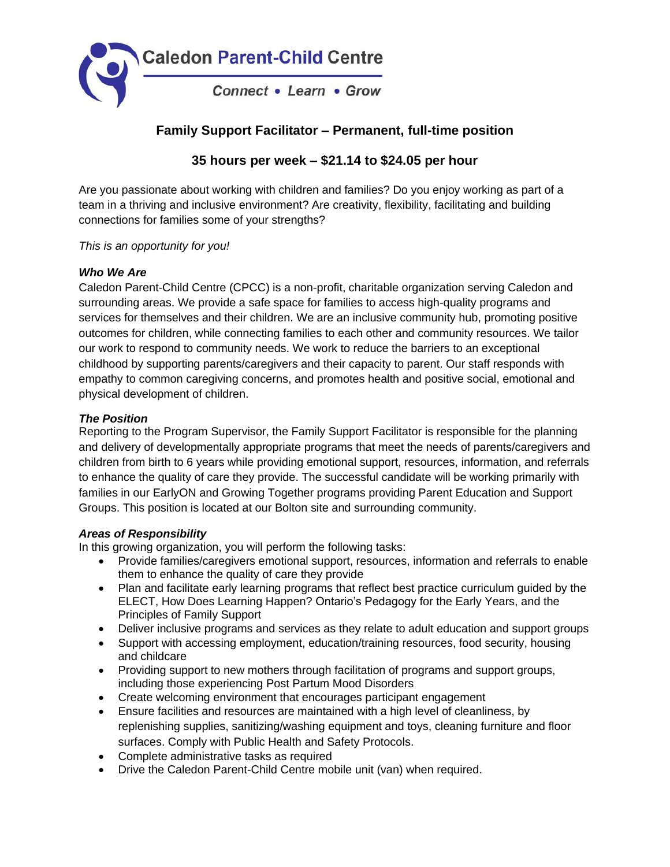

# **Family Support Facilitator – Permanent, full-time position**

## **35 hours per week – \$21.14 to \$24.05 per hour**

Are you passionate about working with children and families? Do you enjoy working as part of a team in a thriving and inclusive environment? Are creativity, flexibility, facilitating and building connections for families some of your strengths?

#### *This is an opportunity for you!*

## *Who We Are*

Caledon Parent-Child Centre (CPCC) is a non-profit, charitable organization serving Caledon and surrounding areas. We provide a safe space for families to access high-quality programs and services for themselves and their children. We are an inclusive community hub, promoting positive outcomes for children, while connecting families to each other and community resources. We tailor our work to respond to community needs. We work to reduce the barriers to an exceptional childhood by supporting parents/caregivers and their capacity to parent. Our staff responds with empathy to common caregiving concerns, and promotes health and positive social, emotional and physical development of children.

## *The Position*

Reporting to the Program Supervisor, the Family Support Facilitator is responsible for the planning and delivery of developmentally appropriate programs that meet the needs of parents/caregivers and children from birth to 6 years while providing emotional support, resources, information, and referrals to enhance the quality of care they provide. The successful candidate will be working primarily with families in our EarlyON and Growing Together programs providing Parent Education and Support Groups. This position is located at our Bolton site and surrounding community.

#### *Areas of Responsibility*

In this growing organization, you will perform the following tasks:

- Provide families/caregivers emotional support, resources, information and referrals to enable them to enhance the quality of care they provide
- Plan and facilitate early learning programs that reflect best practice curriculum guided by the ELECT, How Does Learning Happen? Ontario's Pedagogy for the Early Years, and the Principles of Family Support
- Deliver inclusive programs and services as they relate to adult education and support groups
- Support with accessing employment, education/training resources, food security, housing and childcare
- Providing support to new mothers through facilitation of programs and support groups, including those experiencing Post Partum Mood Disorders
- Create welcoming environment that encourages participant engagement
- Ensure facilities and resources are maintained with a high level of cleanliness, by replenishing supplies, sanitizing/washing equipment and toys, cleaning furniture and floor surfaces. Comply with Public Health and Safety Protocols.
- Complete administrative tasks as required
- Drive the Caledon Parent-Child Centre mobile unit (van) when required.